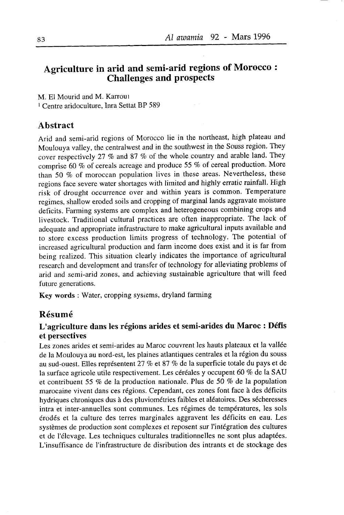# Agriculture in arid and semi-arid regions of Morocco : Challenges and prospects

M. El Mourid and M. Karrout <sup>1</sup> Centre aridoculture, Inra Settat BP 589

#### Abstract

Arid and semi-arid regions of Morocco lie in the northeast, high plateau and Moulouya valley, the centralwest and in the southwest in the Souss region. They cover respectively 27  $\%$  and 87  $\%$  of the whole country and arable land. They comprise 60 % of cereals acreage and produce 55 % of cereal production. More than 50  $%$  of moroccan population lives in these areas. Nevertheless, these regions face severe water shortages with limited and highly erratic rainfall. High risk of drought occurrence over and within years is common. Temperature regimes, shallow eroded soils and cropping of marginal lands aggravate moisture deticits. Farming systems are complex and heterogeneous combining crops and livestock. Traditional cultural practices are often inappropriate. The lack of adequate and appropriate infrastructure to make agricultural inputs available and to store excess production limits progress of technology. The potential of increased agricultural production and farm income does exist and it is far from being realized. This situation clearly indicates the importance of agricultural research and development and transfer of technology for alleviating problems of arid and semi-arid zones, and achieving sustainable agriculture that will feed future generations.

Key words : Water, cropping sysiems, dryland farming

### Résumé

### L'agriculture dans les régions arides et semi-arides du Maroc : DéfÎs et persectives

Les zones arides et semi-arides au Maroc couvrent les hauts plateaux et la vallée de la Moulouya au nord-est, les plaines atlantiques centrales et la région du souss au sud-ouest. Elles représentent 27 % et 87 % de la superficie totale du pays et de la surface agricole utile respectivement. Les céréales y occupent 6O % de la SAU et contribuent 55 % de la production nationale. Plus de 50 % de la population marocaine vivent dans ces régions. Cependant, ces zones font face à des déficits hydriques chroniques dus à des pluviométries faibles et aléatoires. Des sécheresses intra et inter-annuelles sont communes. Les régimes de températures, les sols érodés et la culture des terres marginales aggravent les déficits en eau. Les systèmes de production sont complexes et reposent sur I'intégration des cultures et de l'élevage. Les techniques culturales traditionnelles ne sont plus adaptées. L'insuffisance de l'infrastructure de disribution des intrants et de stockage des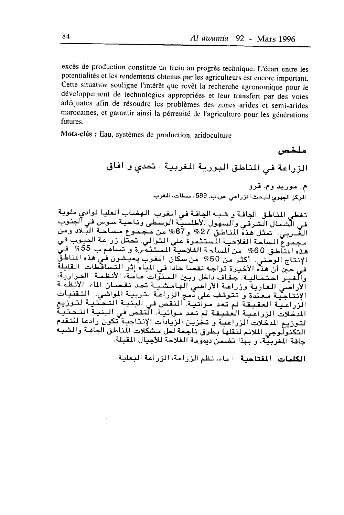excès de production constitue un frein au progrès technique. L'écart entre les potentialités et les rendements obtenus par les agriculteurs est encore important. cette situation souligne I'intérêt que revêt la recherche agronomique pour le développement de technologies appropriées et leur transfert par des voies adéquates afin de résoudre les problèmes des zones arides et semi-arides marocaines, et garantir ainsi la pérrenité de l'agriculture pour les générations futures.

Mots-clés : Eau, systèmes de production, aridoculture

ملخص الزراعة في المناطق البورية المغربية : تحدى و افاق م. موريد وم. قرو الركز الجهري للبحث الزراعي. ص.ب. 589 ، سطات، المغرب

تغطي للناطق الجافة و شبه الجافة في المغرب الهضاب العليا لوادي ملوية في الشمال الشرقي والسهول الأطلسية الوسطى وناحية سوس في الجنوب الغُّـربي. تَمثل هَذَهُ الْمُناطَقّ 27% و87% مَن مُجْمَوع مساحة البَّلادُ وَمَنْ أ الساحة الفلاحية المستثمرة على التوالي. تحتل زراعة الحبوب في<br>أبيت 60% ç: . 5,55 .r Ê4L,; 3 i-.}:,.-il-i-...ti1t i-r\*ti ; 2"6 0 ,.j-tÉ, c:-o الإنتاج الوطني. أكثر من 50% من سكان المغرب يعيشون في هذه المناطق<br>في حين أن هذه الأخيرة تواجه نقصا حادا في المياه إثر التساقطات القليلة<br>والغير احتمالية. جفاف داخل وبين السنوات عامة، الأنظمة الحرارية، الأراضي العارية وزراعة الأراضي الهامشية تحد نقصان الماء. الأنظمة راعية العقيقة لم تعد مواتية. النقص في البنية التحتنية لتوزيع<br>أحداث الله عليه الله عليه الله عليه الله عليه الله عليه الله عليه السواري الإنتاجيّة معتدة وتتوقف على دّمج الزراعة بتربية المواشي. التقنيات المدّخلات الزراعية العقيقة لمّ تعد مـواتية. النقص في البنية التحتية<br>لتوزيع المخلات الزراعية و تخزين الزيادات الإنتاجية تكون رادعا للتقدم التكنولوجي الملائم لنقلها بطرق ناجعة لحل مشكلات الناطق الجافة والشبه جافة المغربيّة، و بهذا تضمن ديمومة الفلاحة للأجيال المقبلة.

الكلمات المقتاحية : ماء، نظم الزراعة، الزراعة البعلية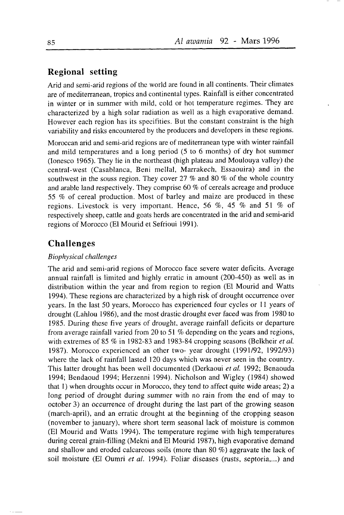#### Regional setting

Arid and semi-arid regions of the world are found in all continents. Their climates are of mediterranean, tropics and continental types. Rainfall is either concentrated in winter or in summer with mild, cold or hot temperature regimes. They are characterized by a high solar radiation as well as a high evaporative demand. However each region has its specifities. But the constant constraint is the high variability and risks encountered by the producers and developers in these regions.

Moroccan arid and semi-arid regions are of mediterranean type with winter rainfall and mild temperatures and a long period (5 to 6 months) of dry hot summer (Ionesco 1965). They lie in the northeast (high plateau and Moulouya valley) the central-west (Casablanca, Beni mellal, Marrakech, Essaouira) and in the southwest in the souss region. They cover 27  $\%$  and 80  $\%$  of the whole country and arable land respectively. They comprise  $60\%$  of cereals acreage and produce 55  $%$  of cereal production. Most of barley and maize are produced in these regions. Livestock is very important. Hence, 56  $\%$ , 45  $\%$  and 51  $\%$  of respectively sheep, cattle and goats herds are concentrated in the arid and semi-arid regions of Morocco (El Mourid et Sefrioui l99l).

#### Challenges

#### Biophysical challenges

The arid and semi-arid regions of Morocco face severe water deficits. Average annual rainfàll is limited and highly erratic in amount (200-450) as well as in distribution within the year and from region to region (El Mourid and Watts 1994). These regions are characterized by a high risk of drought occurrence over years. In the last 50 years, Morocco has experienced four cycles or I I years of drought (Lahlou 1986), and the most drastic drought ever faced was from 1980 to 1985. During these five years of drought, average rainfall deficits or departure from average rainfall varied from 20 to 51  $%$  depending on the years and regions, with extremes of 85  $\%$  in 1982-83 and 1983-84 cropping seasons (Belkheir *et al.* 1987). Morocco experienced an other two- year drought (1991/92, 1992193) where the lack of rainfall lasted  $120$  days which was never seen in the country. This latter drought has been well documented (Derkaoui et al. 1992; Benaouda 1994; Bendaoud 1994; Herzenni 1994). Nicholson and Wigley (1984) showed that  $1$ ) when droughts occur in Morocco, they tend to affect quite wide areas;  $2$ ) a long period of drought during summer with no rain from the end of may to october 3) an occurrence of drought during the last part of the growing season (march-april), and an erratic drought at the beginning of the cropping season (november to january), where short term seasonal lack of moisture is common (El Mourid and Watts 1994). The temperature regime with high temperatures during cereal grain-filling (Mekni and El Mourid 1987), high evaporative demand and shallow and eroded calcareous soils (more than 80  $\%$ ) aggravate the lack of soil moisture (El Oumri et al. 1994). Foliar diseases (rusts, septoria,...) and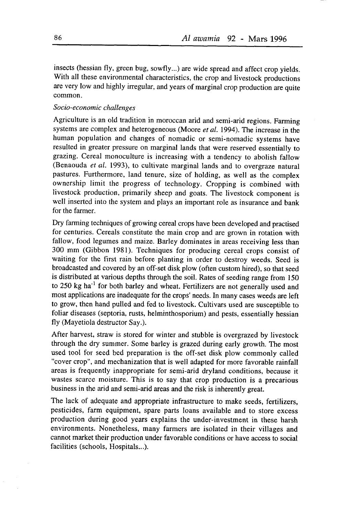insects (hessian fly, green bug, sowfly...) are wide spread and affect crop yields. With all these environmental characteristics, the crop and livestock productions are very low and highly irregular, and years of marginal crop production are quite çommon.

#### Socio-economic challenges

Agriculture is an old tradition in moroccan arid and semi-arid regions. Farming systems are complex and heterogeneous (Moore et al. 1994). The increase in the human population and changes of nomadic or semi-nomadic systems have resulted in greater pressure on marginal lands that were reserved essentially to grazing. cereal monoculture is increasing with a tendency to abolish fallow (Benaouda et al. 1993), to cultivate marginal lands and to overgraze natural pastures. Furthermore, land tenure, size of holding, as well as the complex ownership limit the progress of technology. Cropping is combined with livestock production, primarily sheep and goats. The livestock component is well inserted into the system and plays an important role as insurance and bank for the farmer.

Dry farming techniques of growing cereal crops have been developed and practised for centuries. Cereals constitute the main crop and are grown in rotation with fallow, food legumes and maize. Barley dominates in areas receiving less than 300 mm (Gibbon 1981). Techniques for producing cereal crops consist of waiting for the first rain before planting in order to destroy weeds. Seed is broadcasted and covered by an off-set disk plow (often custom hired), so that seed is distributed at various depths through the soil. Rates of seeding range from 150 to 250 kg ha<sup>-1</sup> for both barley and wheat. Fertilizers are not generally used and most applications are inadequate for the crops' needs. In many cases weeds are left to grow, then hand pulled and fed to livestock. Cultivars used are susceptible to foliar diseases (septoria, rusts, helminthosporium) and pests, essentially hessian fly (Mayetiola destructor Say.).

After harvest, straw is stored for winter and stubble is overgrazed by livestock through the dry summer. Some barley is grazed during early growth. The most used tool for seed bed preparation is the off-set disk plow commonly called "cover crop", and mechanization that is well adapted for more favorable rainfall areas is frequently inappropriate for semi-arid dryland conditions, because it wastes scarce moisture. This is to say that crop production is a precarious business in the arid and semi-arid areas and the risk is inherently great.

The lack of adequate and appropriate infrastructure to make seeds, fertilizers, pesticides, farm equipment, spare parts loans available and to store excess production during good years explains the under-investment in these harsh environments. Nonetheless, many farmers are isolated in their villages and cannot market their production under favorable conditions or have access to social facilities (schools, Hospitals...).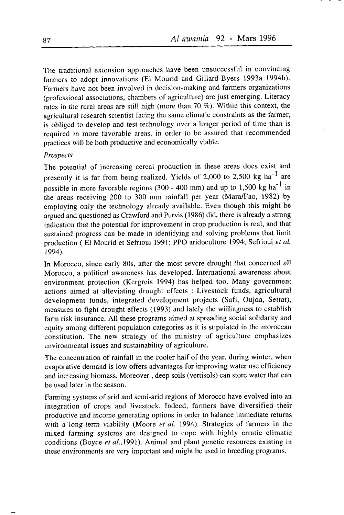The traditional extension approaches have been unsuccessful in convincing farmers to adopt innovations (El Mourid and Gillard-Byers 1993a 1994b). Farmers have not been involved in decision-making and farmers organizations (professional associations, chambers of agriculture) are just emerging. Literacy rates in the rural areas are still high (more than  $70\%$ ). Within this context, the agricultural research scientist facing the same climatic constraints as the farmer, is obliged to develop and test technology over a longer period of time than is required in more favorable areas, in order to be assured that recommended practices will be both productive and economically viable.

#### Prospects

The potential of increasing cereal production in these areas does exist and presently it is far from being realized. Yields of 2,000 to 2,500 kg  $ha^{-1}$  are possible in more favorable regions (300 - 400 mm) and up to 1,500 kg ha<sup>-1</sup> in the areas receiving 200 to 300 mm rainfall per year (Mara/Fao, 1982) by employing only the technology already available. Even though this might be argued and questioned as Crawford and Purvis (1986) did, there is already a strong indication that the potential for improvement in crop production is real, and that sustained progress can be made in identifying and solving problems that limit production (El Mourid et Sefrioui 1991; PPO aridoculture 1994; Sefrioui et al. 1994).

In Morocco, since early 80s, after the most severe drought that concerned all Morocco, a political awareness has developed. International awareness about environment protection (Kergreis 1994) has helped too. Many government actions aimed at alleviating drought effects : Livestock funds, agricultural development funds, integrated development projects (Safi, Oujda, Settat), measures to fight drought effects (1993) and lately the willingness to establish farm risk insurance. All these programs aimed at spreading social solidarity and equity among different population categories as it is stipulated in the moroccan constitution. The new strategy of the ministry of agriculture emphasizes environmental issues and sustainability of agriculture.

The concentration of rainfall in the cooler half of the year, during winter, when evaporative demand is low offers advantages for improving water use efficiency and inc-easing biomass. Moreover , deep soils (vertisols) can store water that can be used later in the season.

Farming systems of arid and semi-arid regions of Morocco have evolved into an integration of crops and livestock. Indeed, farmers have diversified their productive and income generating options in order to balance immediate returns with a long-term viability (Moore et al. 1994). Strategies of farmers in the mixed farming systems are designed to cope with highly erratic climatic conditions (Boyce et a1.,1991). Animal and plant genetic resources existing in these environments are very important and might be used in breeding programs.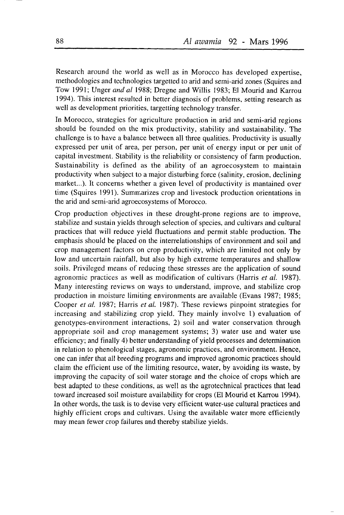Research around the world as well as in Morocco has developed expertise, methodologies and technologies targetted to arid and semi-arid zones (Squires and Tow l99l; Unger and al 1988; Dregne and Willis 1983; El Mourid and Karrou 1994). This interest resulted in better diagnosis of problems, setting research as well as development priorities, targetting technology transfer.

In Morocco, strategies for agriculture production in arid and semi-arid regions should be founded on the mix productivity, stability and sustainability. The challenge is to have a balance between all three qualities. Productivity is usually expressed per unit of area, per person, per unit of energy input or per unit of capital investment. Stability is the reliability or consistency of farm production. Sustainability is defined as the ability of an agroecosystem to maintain productivity when subject to a major disturbing force (salinity, erosion, declining market...). It concerns whether a given level of productivity is mantained over time (Squires 1991). Summarizes crop and livestock production orientations in the arid and semi-arid agroecosystems of Morocco.

Crop production objectives in these drought-prone regions are to improve, stabilize and sustain yields through selection of species, and cultivars and cultural practices that will reduce yield fluctuations and permit stable production. The emphasis should be placed on the interrelationships of environment and soil and crop management factors on crop productivity, which are limited not only by low and uncertain rainfall, but also by high extreme temperatures and shallow soils. Privileged means of reducing these stresses are the application of sound agronomic practices as well as modification of cultivars (Harris et al. 1987). Many interesting reviews on ways to understand, improve, and stabilize crop production in moisture limiting environments are available (Evans 1987; 1985; Cooper et al. 1987; Harris et al. 1987). These reviews pinpoint strategies for increasing and stabilizing crop yield. They mainly involve 1) evaluation of genotypes-environment interactions, 2) soil and water conservation through appropriate soil and crop management systems; 3) water use and water use efficiency; and finally 4) better understanding of yield processes and determination in relation to phenological stages, agronomic practices, and environment. Hence, one can infer that all breeding programs and improved agronomic practices should claim the efficient use of the limiting resource, water, by avoiding its waste, by improving the capacity of soil water storage and the choice of crops which are best adapted to these conditions, as well as the agrotechnical practices that lead toward increased soil moisture availability for crops (El Mourid et Kanou 1994). In other words, the task is to devise very efficient water-use cultural practices and highly efficient crops and cultivars. Using the available water more efficiently may mean fewer crop failures and thereby stabilize yields.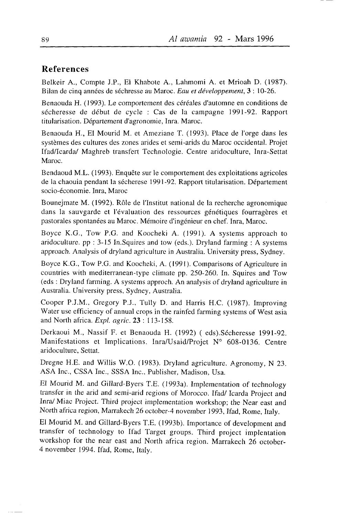## References

Belkeir A., Compte J.P., El Khabote A., Lahmomi A. et Mrioah D. (1987). Bilan de cinq années de séchresse au Maroc. Eau et développement, 3 : 10-26.

Benaouda H. (1993). Le comportement des céréales d'automne en conditions de sécheresse de début de cycle : Cas de la campagne 1991-92. Rapport titularisation. Département d'agronomie, Inra. Maroc.

Benaouda H., El Mourid M. et Ameziane T. (1993). Place de I'orge dans les systèmes des cultures des zones arides et semi-arids du Maroc occidental. Projet Ifad/Icardal Maghreb transfert Technologie. Centre aridoculture, Inra-Settat Maroc.

Bendaoud M.L. (1993). Enquête sur le comportement des exploitations agricoles de la chaouia pendant la sécherese 1991-92. Rapport titularisation. Département socio-économie. Inra, Maroc

Bounejmate M. (1992). Rôle de I'Institut national de la recherche agronomique dans la sauvgarde et l'évaluation des ressources génétiques fourragères et pastorales spontanées au Maroc. Mémoire d'ingénieur en chef. Inra, Maroc.

Boyce K.G., Tow P.G. and Koocheki A. (1991). A systems approach to aridoculture. pp:  $3-15$  In.Squires and tow (eds.). Dryland farming: A systems approach. Analysis of dryland agriculture in Australia. University press, Sydney.

Boyce K.G., Tow P.G. and Koocheki, A. (1991). Comparisons of Agriculture in countries with mediterranean-type climate pp. 250-260. In. Squires and Tow (eds : Dryland fàrming. A systems approch. An analysis of dryland agriculture in Australia. University press, Sydney, Australia.

Cooper P.J.M., Gregory P.J., Tully D. and Harris H.C. (1987). Improving Water use efficiency of annual crops in the rainfed farming systems of West asia and North africa. Expl. agric. 23 : 113-158.

Derkaoui M., Nassif F. et Benaouda H. (1992) ( eds).Sécheresse l99l-92. Manifestations et Implications. Inra/Usaid/Projet N° 608-0136. Centre aridoculture, Settat.

Dregne H.E. and Willis W.O. (1983). Dryland agriculture. Agronomy, N 23. ASA Inc., CSSA inc.. SSSA Inc., Publisher, Madison, Usa.

El Mourid M. and Gillard-Byers T.E. (1993a). Implementation of technology transfer in the arid and semi-arid regions of Morocco. Ifad/ Icarda Project and Inra/ Miac Project. Third project implementation workshop; the Near east and North africa region, Marrakech 26 october-4 november 1993, Ifad, Rome, Italy.

El Mourid M. and Gillard-Byers T.E. (1993b). Imporrance of developmenr and transfer of technology to Ifad Target groups. Third project implentation workshop for the near east and North africa region. Marrakech 26 october-4 november 1994. Ifad, Rome, Italy.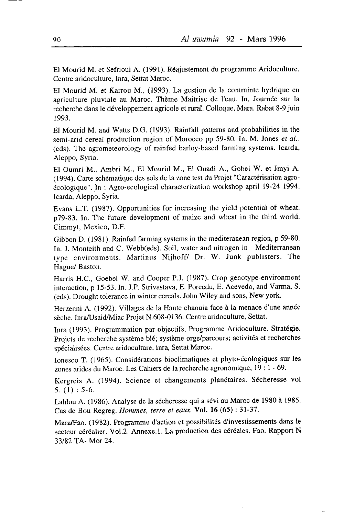El Mourid M. et Sefrioui A. (1991). Réajustement du programme Aridoculture. Centre aridoculture, Inra, Settat Maroc.

El Mourid M. et Karrou M., (1993). La gestion de la contrainte hydrique en agriculture pluviale au Maroc. Thème Maitrise de I'eau. In. Journée sur la recherche dans le développement agricole et rural. Colloque, Mara. Rabat 8-9 juin 1993.

El Mourid M. and Watts D.G. (1993). Rainfall patterns and probabilities in the semi-arid cereal production region of Morocco pp 59-80. In. M. Jones et al.. (eds). The agrometeorology of rainfed barley-based farming systems' Icarda, Aleppo, Syria.

El Oumri M., Ambri M,, El Mourid M., El Ouadi A., Gobel W. et Jmyi A. (1994). Carte schématique des sols de la zone test du Projet "Caractérisation agroécologique". In : Agro-ecological characterization workshop april 19-24 1994. Icarda, Aleppo, Syria.

Evans L.T. (1987). Opportunities for increasing the yield potential of wheat. p79-83. In. The future development of maize and wheat in the third world. Cimmyt, Mexico, D.F.

Gibbon D. (1981). Rainfed farming systems in the mediteranean region, p 59-80. In. J. Monteith and C. Webb(eds). Soil, water and nitrogen in Mediterranean type environments. Martinus Nijhoff/ Dr. W. Junk publisters. The Hague/ Baston.

Harris H.C., Goebel W. and Cooper P.J. (1987). Crop genotype-environment interaction, p l5-53. In. J.P. Strivastava, E. Porcedu, E. Acevedo, and Varma, S. (eds). Drought tolerance in winter cereals. John Wiley and sons, New york.

Herzenni A. (1992). Villages de la Haute chaouia face à la menace d'une année sèche. Inra/Usaid/Miac Projet N.608-0136. Centre aridoculture, Settat.

Inra (1993). Programmation par objectifs, Programme Aridoculture. Stratégie. Projets de recherche système blé; système orge/parcours; activités et recherches spécialisées. Centre aridoculture, Inra, Settat Maroc.

Ionesco T. (1965). Considérations biocliraatiques et phyto-écologiques sur les zones arides du Maroc. Les Cahiers de la recherche agronomique, 19 : 1 - 69.

Kergreis A. (1994). Science et changements planétaires. Sécheresse vol 5.  $(1)$  : 5-6.

Lahlou A. (1986). Analyse de la sécheresse qui a sévi au Maroc de 1980 à 1985. Cas de Bou Regreg. Hommes, terre et eaux. Vol. 16 (65) : 31-37.

Mara/Fao. (1982). Programme d'action et possibilités d'investissements dans le secteur céréalier. Vol.2. Annexe.1. La production des céréales. Fao. Rapport N 33/82 TA- Mor 24.